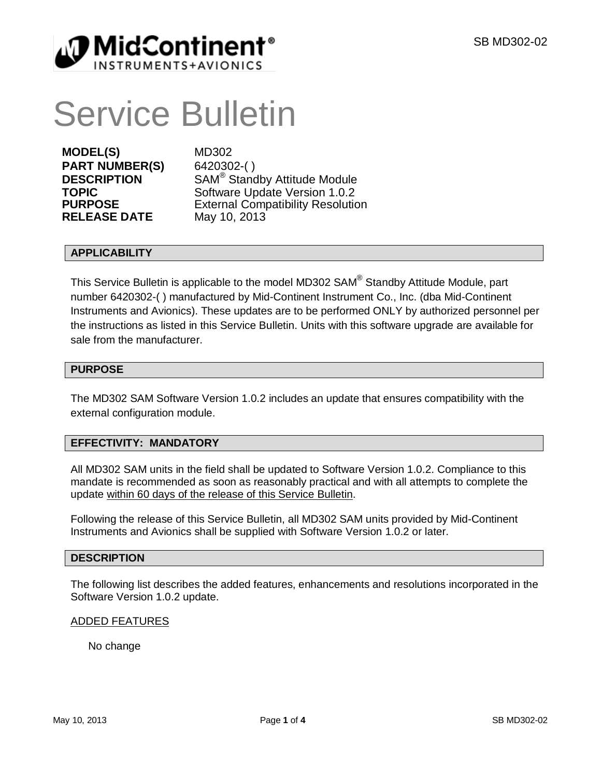

# Service Bulletin

**MODEL(S)** MD302 **PART NUMBER(S)** 6420302-( ) **RELEASE DATE** 

**DESCRIPTION** SAM® Standby Attitude Module **TOPIC** Software Update Version 1.0.2<br> **PURPOSE** External Compatibility Resolution External Compatibility Resolution<br>May 10, 2013

#### **APPLICABILITY**

This Service Bulletin is applicable to the model MD302 SAM® Standby Attitude Module, part number 6420302-( ) manufactured by Mid-Continent Instrument Co., Inc. (dba Mid-Continent Instruments and Avionics). These updates are to be performed ONLY by authorized personnel per the instructions as listed in this Service Bulletin. Units with this software upgrade are available for sale from the manufacturer.

#### **PURPOSE**

The MD302 SAM Software Version 1.0.2 includes an update that ensures compatibility with the external configuration module.

# **EFFECTIVITY: MANDATORY**

All MD302 SAM units in the field shall be updated to Software Version 1.0.2. Compliance to this mandate is recommended as soon as reasonably practical and with all attempts to complete the update within 60 days of the release of this Service Bulletin.

Following the release of this Service Bulletin, all MD302 SAM units provided by Mid-Continent Instruments and Avionics shall be supplied with Software Version 1.0.2 or later.

#### **DESCRIPTION**

The following list describes the added features, enhancements and resolutions incorporated in the Software Version 1.0.2 update.

#### ADDED FEATURES

No change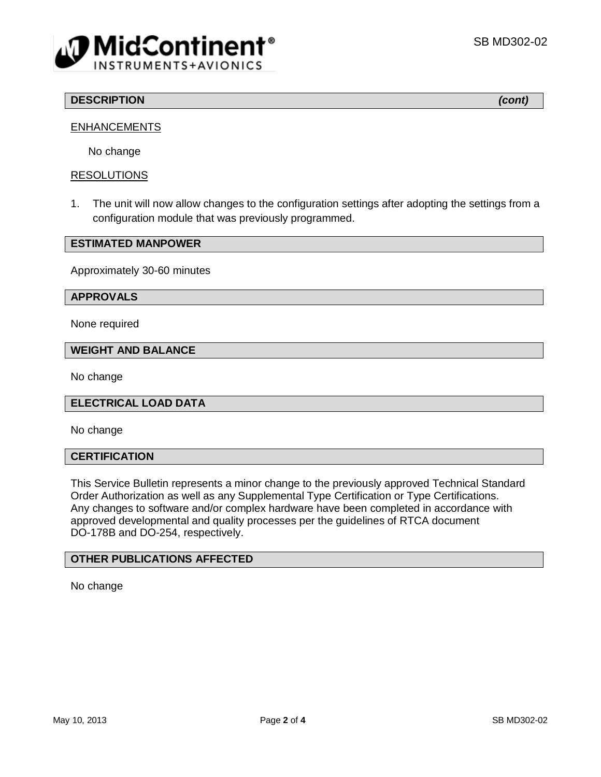

# **DESCRIPTION** *(cont)*

# **ENHANCEMENTS**

No change

#### RESOLUTIONS

1. The unit will now allow changes to the configuration settings after adopting the settings from a configuration module that was previously programmed.

#### **ESTIMATED MANPOWER**

Approximately 30-60 minutes

#### **APPROVALS**

None required

#### **WEIGHT AND BALANCE**

No change

#### **ELECTRICAL LOAD DATA**

No change

#### **CERTIFICATION**

This Service Bulletin represents a minor change to the previously approved Technical Standard Order Authorization as well as any Supplemental Type Certification or Type Certifications. Any changes to software and/or complex hardware have been completed in accordance with approved developmental and quality processes per the guidelines of RTCA document DO-178B and DO-254, respectively.

#### **OTHER PUBLICATIONS AFFECTED**

No change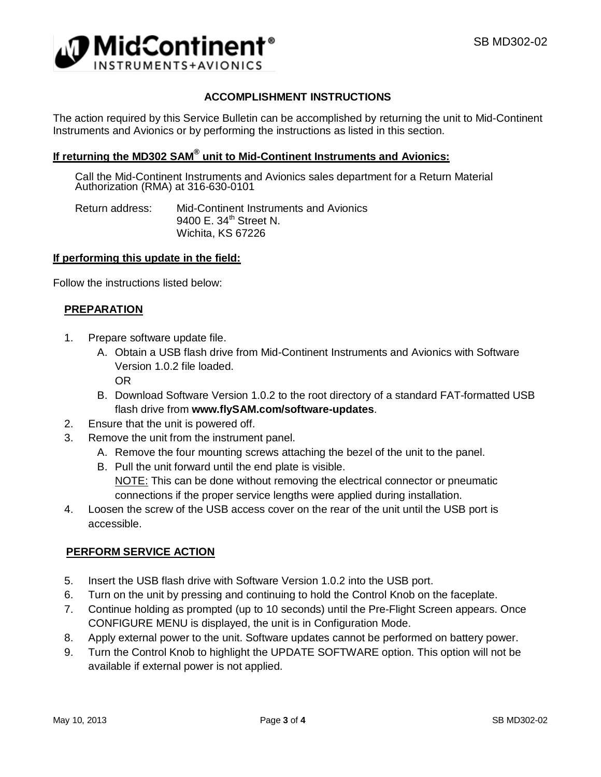

# **ACCOMPLISHMENT INSTRUCTIONS**

The action required by this Service Bulletin can be accomplished by returning the unit to Mid-Continent Instruments and Avionics or by performing the instructions as listed in this section.

# **If returning the MD302 SAM® unit to Mid-Continent Instruments and Avionics:**

Call the Mid-Continent Instruments and Avionics sales department for a Return Material Authorization (RMA) at 316-630-0101

Return address: Mid-Continent Instruments and Avionics 9400  $F. 34<sup>th</sup>$  Street N. Wichita, KS 67226

#### **If performing this update in the field:**

Follow the instructions listed below:

#### **PREPARATION**

- 1. Prepare software update file.
	- A. Obtain a USB flash drive from Mid-Continent Instruments and Avionics with Software Version 1.0.2 file loaded. OR
	- B. Download Software Version 1.0.2 to the root directory of a standard FAT-formatted USB flash drive from **[www.flySAM.com/software-updates](http://www.flysam.com/software-updates/)**.
- 2. Ensure that the unit is powered off.
- 3. Remove the unit from the instrument panel.
	- A. Remove the four mounting screws attaching the bezel of the unit to the panel.
	- B. Pull the unit forward until the end plate is visible.
	- NOTE: This can be done without removing the electrical connector or pneumatic connections if the proper service lengths were applied during installation.
- 4. Loosen the screw of the USB access cover on the rear of the unit until the USB port is accessible.

#### **PERFORM SERVICE ACTION**

- 5. Insert the USB flash drive with Software Version 1.0.2 into the USB port.
- 6. Turn on the unit by pressing and continuing to hold the Control Knob on the faceplate.
- 7. Continue holding as prompted (up to 10 seconds) until the Pre-Flight Screen appears. Once CONFIGURE MENU is displayed, the unit is in Configuration Mode.
- 8. Apply external power to the unit. Software updates cannot be performed on battery power.
- 9. Turn the Control Knob to highlight the UPDATE SOFTWARE option. This option will not be available if external power is not applied.